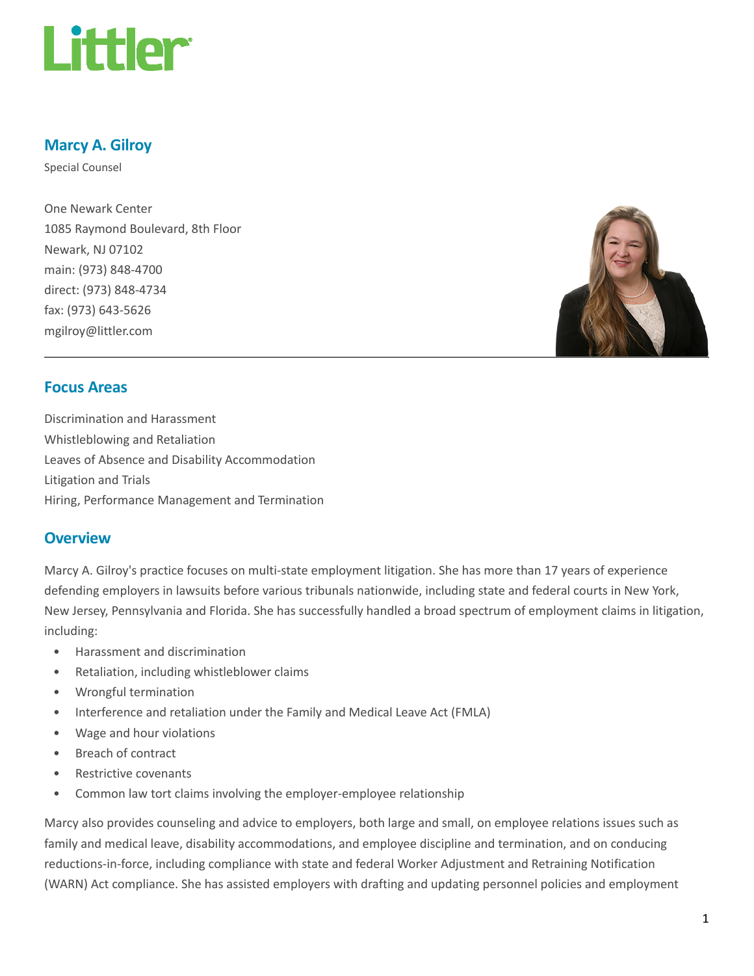

## Marcy A. Gilroy

Special Counsel

One Newark Center 1085 Raymond Boulevard, 8th Floor Newark, NJ 07102 main: (973) 848-4700 direct: (973) 848-4734 fax: (973) 643-5626 mgilroy@littler.com



#### Focus Areas

Discrimination and Harassment Whistleblowing and Retaliation Leaves of Absence and Disability Accommodation Litigation and Trials Hiring, Performance Management and Termination

#### **Overview**

Marcy A. Gilroy's practice focuses on multi-state employment litigation. She has more than 17 years of experience defending employers in lawsuits before various tribunals nationwide, including state and federal courts in New York, New Jersey, Pennsylvania and Florida. She has successfully handled a broad spectrum of employment claims in litigation, including:

- Harassment and discrimination
- Retaliation, including whistleblower claims
- Wrongful termination
- Interference and retaliation under the Family and Medical Leave Act (FMLA)
- Wage and hour violations
- Breach of contract
- Restrictive covenants
- Common law tort claims involving the employer-employee relationship

Marcy also provides counseling and advice to employers, both large and small, on employee relations issues such as family and medical leave, disability accommodations, and employee discipline and termination, and on conducing reductions-in-force, including compliance with state and federal Worker Adjustment and Retraining Notification (WARN) Act compliance. She has assisted employers with drafting and updating personnel policies and employment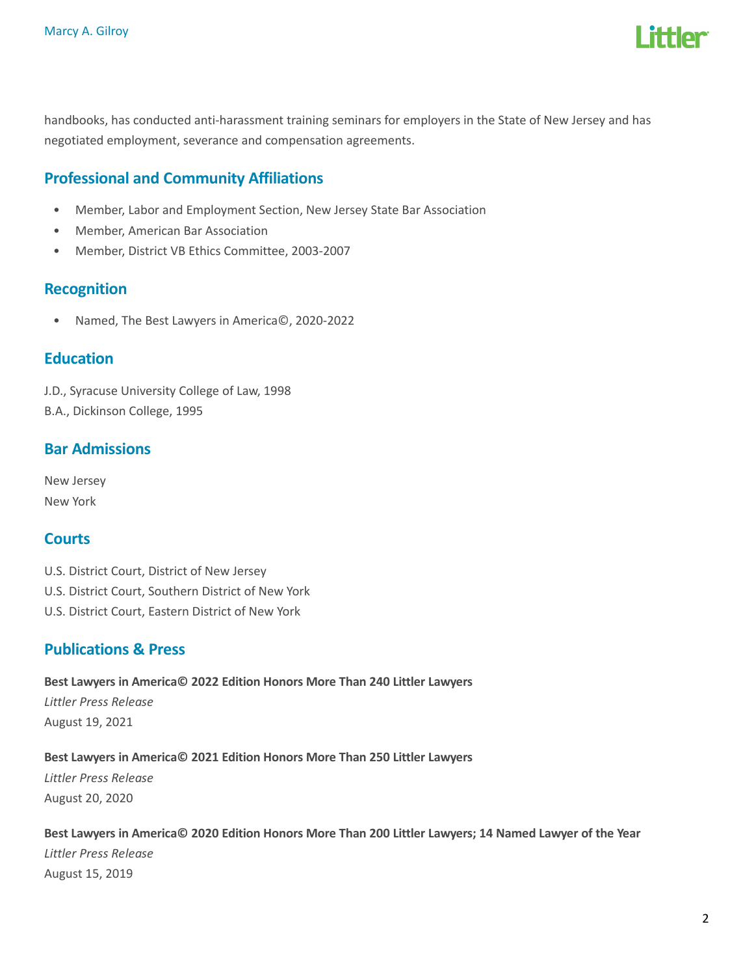

handbooks, has conducted anti-harassment training seminars for employers in the State of New Jersey and has negotiated employment, severance and compensation agreements.

# Professional and Community Affiliations

- Member, Labor and Employment Section, New Jersey State Bar Association
- Member, American Bar Association
- Member, District VB Ethics Committee, 2003-2007

#### Recognition

• Named, The Best Lawyers in America©, 2020-2022

#### **Education**

J.D., Syracuse University College of Law, 1998 B.A., Dickinson College, 1995

## Bar Admissions

New Jersey New York

# **Courts**

U.S. District Court, District of New Jersey U.S. District Court, Southern District of New York U.S. District Court, Eastern District of New York

## Publications & Press

Best Lawyers in America© 2022 Edition Honors More Than 240 Littler Lawyers Littler Press Release August 19, 2021

#### Best Lawyers in America© 2021 Edition Honors More Than 250 Littler Lawyers

Littler Press Release August 20, 2020

Best Lawyers in America© 2020 Edition Honors More Than 200 Littler Lawyers; 14 Named Lawyer of the Year Littler Press Release August 15, 2019